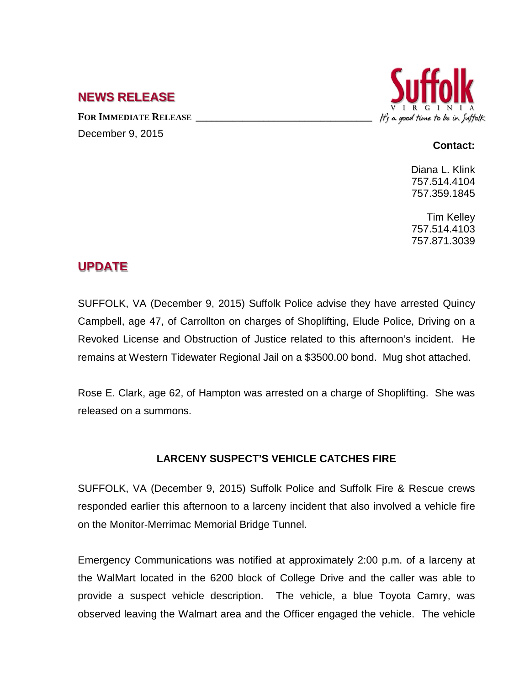## **NEWS RELEASE**

FOR **IMMEDIATE RELEASE** December 9, 2015



## **Contact:**

Diana L. Klink 757.514.4104 757.359.1845

Tim Kelley 757.514.4103 757.871.3039

## **UPDATE**

SUFFOLK, VA (December 9, 2015) Suffolk Police advise they have arrested Quincy Campbell, age 47, of Carrollton on charges of Shoplifting, Elude Police, Driving on a Revoked License and Obstruction of Justice related to this afternoon's incident. He remains at Western Tidewater Regional Jail on a \$3500.00 bond. Mug shot attached.

Rose E. Clark, age 62, of Hampton was arrested on a charge of Shoplifting. She was released on a summons.

## **LARCENY SUSPECT'S VEHICLE CATCHES FIRE**

SUFFOLK, VA (December 9, 2015) Suffolk Police and Suffolk Fire & Rescue crews responded earlier this afternoon to a larceny incident that also involved a vehicle fire on the Monitor-Merrimac Memorial Bridge Tunnel.

Emergency Communications was notified at approximately 2:00 p.m. of a larceny at the WalMart located in the 6200 block of College Drive and the caller was able to provide a suspect vehicle description. The vehicle, a blue Toyota Camry, was observed leaving the Walmart area and the Officer engaged the vehicle. The vehicle